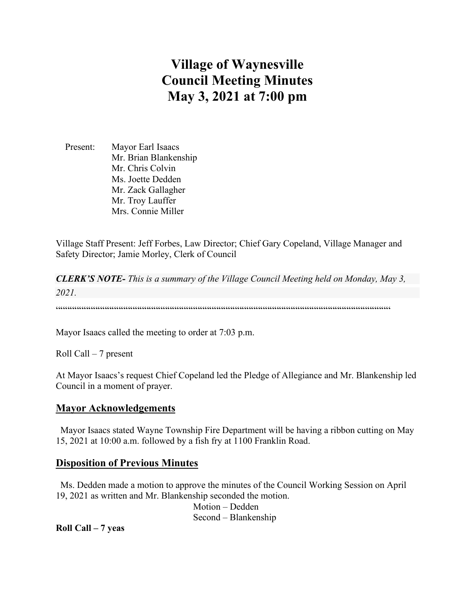# **Village of Waynesville Council Meeting Minutes May 3, 2021 at 7:00 pm**

 Present: Mayor Earl Isaacs Mr. Brian Blankenship Mr. Chris Colvin Ms. Joette Dedden Mr. Zack Gallagher Mr. Troy Lauffer Mrs. Connie Miller

Village Staff Present: Jeff Forbes, Law Director; Chief Gary Copeland, Village Manager and Safety Director; Jamie Morley, Clerk of Council

*CLERK'S NOTE- This is a summary of the Village Council Meeting held on Monday, May 3, 2021.* 

""""""""""""""""""""""""""""""""""""""""""""""""""""""""""""""""""""""""

Mayor Isaacs called the meeting to order at 7:03 p.m.

Roll Call – 7 present

At Mayor Isaacs's request Chief Copeland led the Pledge of Allegiance and Mr. Blankenship led Council in a moment of prayer.

### **Mayor Acknowledgements**

 Mayor Isaacs stated Wayne Township Fire Department will be having a ribbon cutting on May 15, 2021 at 10:00 a.m. followed by a fish fry at 1100 Franklin Road.

### **Disposition of Previous Minutes**

 Ms. Dedden made a motion to approve the minutes of the Council Working Session on April 19, 2021 as written and Mr. Blankenship seconded the motion. Motion – Dedden Second – Blankenship

**Roll Call – 7 yeas**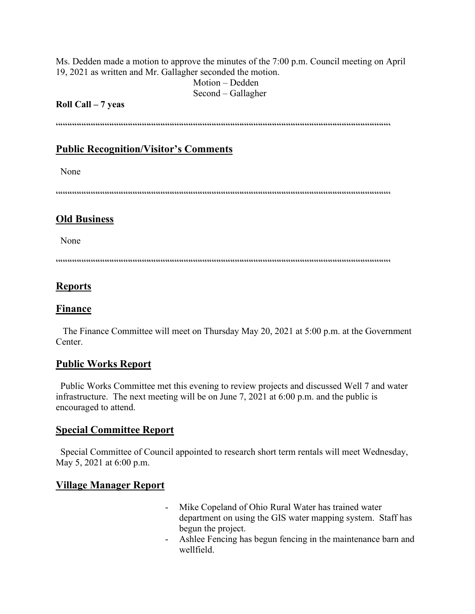Ms. Dedden made a motion to approve the minutes of the 7:00 p.m. Council meeting on April 19, 2021 as written and Mr. Gallagher seconded the motion.

 Motion – Dedden Second – Gallagher

### **Roll Call – 7 yeas**

 $\hspace{1.5em} {\color{blue}{{\color{blue}{{\color{blue}{{\color{blue}{{\color{blue}{{\color{blue}{{\color{blue}{{\color{blue}{{\color{blue}{{\color{blue}{{\color{blue}{{\color{blue}{{\color{blue}{{\color{blue}{{\color{blue}{{\color{blue}{{\color{blue}{{\color{blue}{{\color{blue}{{\color{blue}{{\color{blue}{{\color{blue}{{\color{blue}{{\color{blue}{{\color{blue}{{\color{blue}{{\color{blue}{{\color{blue}{{\color{blue}{{\color{blue}{{\color{blue}{{\color{blue}{{\color{blue}{{\color{blue}{{\color{blue}{{\$ 

# **Public Recognition/Visitor's Comments**

None

""""""""""""""""""""""""""""""""""""""""""""""""""""""""""""""""""""""""

# **Old Business**

None

 $\label{prop:main} \hspace{1.5cm} \hspace{1.5cm} \hspace{1.5cm} \hspace{1.5cm} \hspace{1.5cm} \hspace{1.5cm} \hspace{1.5cm} \hspace{1.5cm} \hspace{1.5cm} \hspace{1.5cm} \hspace{1.5cm} \hspace{1.5cm} \hspace{1.5cm} \hspace{1.5cm} \hspace{1.5cm} \hspace{1.5cm} \hspace{1.5cm} \hspace{1.5cm} \hspace{1.5cm} \hspace{1.5cm} \hspace{1.5cm} \hspace{1.5cm} \hspace{1.5cm} \hspace{1.$ 

# **Reports**

# **Finance**

 The Finance Committee will meet on Thursday May 20, 2021 at 5:00 p.m. at the Government Center.

# **Public Works Report**

 Public Works Committee met this evening to review projects and discussed Well 7 and water infrastructure. The next meeting will be on June 7, 2021 at 6:00 p.m. and the public is encouraged to attend.

# **Special Committee Report**

 Special Committee of Council appointed to research short term rentals will meet Wednesday, May 5, 2021 at 6:00 p.m.

# **Village Manager Report**

- Mike Copeland of Ohio Rural Water has trained water department on using the GIS water mapping system. Staff has begun the project.
- Ashlee Fencing has begun fencing in the maintenance barn and wellfield.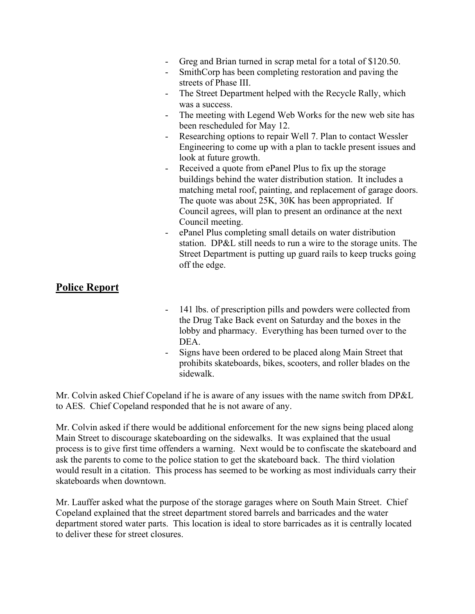- Greg and Brian turned in scrap metal for a total of \$120.50.
- SmithCorp has been completing restoration and paving the streets of Phase III.
- The Street Department helped with the Recycle Rally, which was a success.
- The meeting with Legend Web Works for the new web site has been rescheduled for May 12.
- Researching options to repair Well 7. Plan to contact Wessler Engineering to come up with a plan to tackle present issues and look at future growth.
- Received a quote from ePanel Plus to fix up the storage buildings behind the water distribution station. It includes a matching metal roof, painting, and replacement of garage doors. The quote was about 25K, 30K has been appropriated. If Council agrees, will plan to present an ordinance at the next Council meeting.
- ePanel Plus completing small details on water distribution station. DP&L still needs to run a wire to the storage units. The Street Department is putting up guard rails to keep trucks going off the edge.

# **Police Report**

- 141 lbs. of prescription pills and powders were collected from the Drug Take Back event on Saturday and the boxes in the lobby and pharmacy. Everything has been turned over to the DEA.
- Signs have been ordered to be placed along Main Street that prohibits skateboards, bikes, scooters, and roller blades on the sidewalk.

Mr. Colvin asked Chief Copeland if he is aware of any issues with the name switch from DP&L to AES. Chief Copeland responded that he is not aware of any.

Mr. Colvin asked if there would be additional enforcement for the new signs being placed along Main Street to discourage skateboarding on the sidewalks. It was explained that the usual process is to give first time offenders a warning. Next would be to confiscate the skateboard and ask the parents to come to the police station to get the skateboard back. The third violation would result in a citation. This process has seemed to be working as most individuals carry their skateboards when downtown.

Mr. Lauffer asked what the purpose of the storage garages where on South Main Street. Chief Copeland explained that the street department stored barrels and barricades and the water department stored water parts. This location is ideal to store barricades as it is centrally located to deliver these for street closures.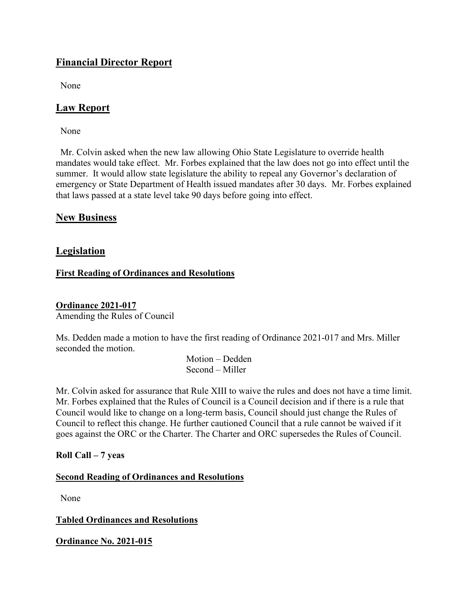# **Financial Director Report**

None

# **Law Report**

None

 Mr. Colvin asked when the new law allowing Ohio State Legislature to override health mandates would take effect. Mr. Forbes explained that the law does not go into effect until the summer. It would allow state legislature the ability to repeal any Governor's declaration of emergency or State Department of Health issued mandates after 30 days. Mr. Forbes explained that laws passed at a state level take 90 days before going into effect.

### **New Business**

### **Legislation**

### **First Reading of Ordinances and Resolutions**

### **Ordinance 2021-017**

Amending the Rules of Council

Ms. Dedden made a motion to have the first reading of Ordinance 2021-017 and Mrs. Miller seconded the motion.

> Motion – Dedden Second – Miller

Mr. Colvin asked for assurance that Rule XIII to waive the rules and does not have a time limit. Mr. Forbes explained that the Rules of Council is a Council decision and if there is a rule that Council would like to change on a long-term basis, Council should just change the Rules of Council to reflect this change. He further cautioned Council that a rule cannot be waived if it goes against the ORC or the Charter. The Charter and ORC supersedes the Rules of Council.

**Roll Call – 7 yeas**

### **Second Reading of Ordinances and Resolutions**

None

### **Tabled Ordinances and Resolutions**

**Ordinance No. 2021-015**